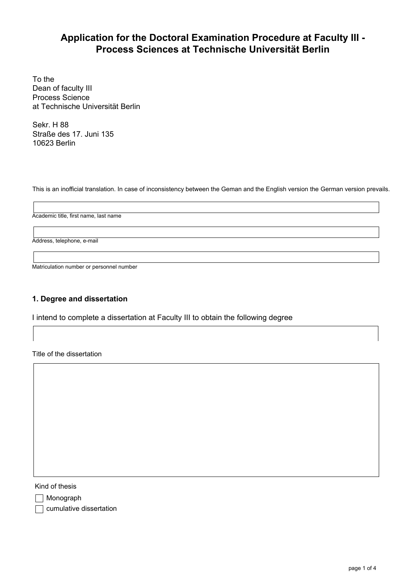# **Application for the Doctoral Examination Procedure at Faculty III - Process Sciences at Technische Universität Berlin**

To the Dean of faculty III Process Science at Technische Universität Berlin

Sekr. H 88 Straße des 17. Juni 135 10623 Berlin

This is an inofficial translation. In case of inconsistency between the Geman and the English version the German version prevails.

Academic title, first name, last name

Address, telephone, e-mail

Matriculation number or personnel number

## 1. Degree and dissertation

I intend to complete a dissertation at Faculty III to obtain the following degree

Title of the dissertation

Kind of thesis

Monograph

**cumulative dissertation**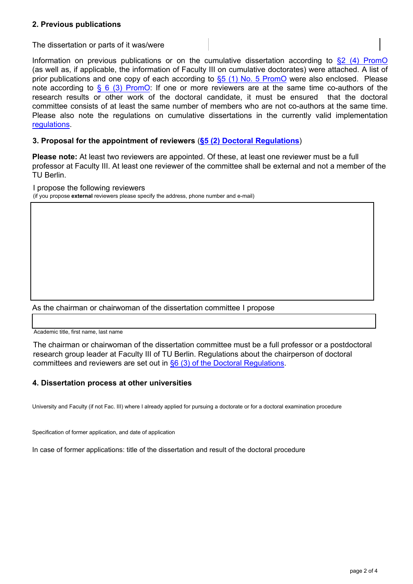# 2. Previous publications

The dissertation or parts of it was/were

Information on previous publications or on the cumulative dissertation according to  $\S2$  (4) PromO (as well as, if applicable, the information of Faculty III on cumulative doctorates) were attached. A list of prior publications and one copy of each according to  $\S5$  (1) No. 5 PromO were also enclosed. Please note according to  $\S 6$  (3) PromO: If one or more reviewers are at the same time co-authors of the research results or other work of the doctoral candidate, it must be ensured that the doctoral committee consists of at least the same number of members who are not co-authors at the same time. Please also note the regulations on cumulative dissertations in the currently valid implementation [regulations.](https://www.tu-berlin.de/fak_3/menue/forschung/promotionhabilitation/parameter/en/)

## 3. **Proposal for the appointment of reviewers** (**[§5 \(2\) Doctoral Regulations](https://www.tu-berlin.de/fak_3/menue/forschung/promotionhabilitation/parameter/en/)**)

**Please note:** At least two reviewers are appointed. Of these, at least one reviewer must be a full professor at Faculty III. At least one reviewer of the committee shall be external and not a member of the TU Berlin.

I propose the following reviewers

(if you propose **external** reviewers please specify the address, phone number and e-mail)

As the chairman or chairwoman of the dissertation committee I propose

Academic title, first name, last name

The chairman or chairwoman of the dissertation committee must be a full professor or a postdoctoral research group leader at Faculty III of TU Berlin. Regulations about the chairperson of doctoral committees and reviewers are set out in [§6 \(3\) of the Doctoral Regulations.](https://www.tu-berlin.de/fak_3/menue/forschung/promotionhabilitation/parameter/en/)

#### 4. Dissertation process at other universities

University and Faculty (if not Fac. III) where I already applied for pursuing a doctorate or for a doctoral examination procedure

Specification of former application, and date of application

In case of former applications: title of the dissertation and result of the doctoral procedure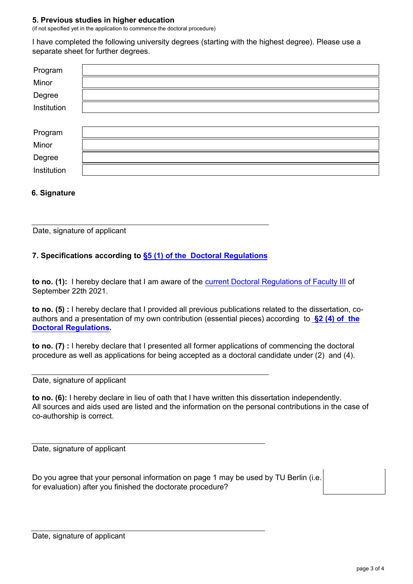#### 5. Previous studies in higher education

(if not specified yet in the application to commence the doctoral procedure)

I have completed the following university degrees (starting with the highest degree). Please use a separate sheet for further degrees.

| Program     |  |
|-------------|--|
| Minor       |  |
| Degree      |  |
| Institution |  |
|             |  |
| Program     |  |
| Minor       |  |
| Degree      |  |
| Institution |  |

### 6. Signature

Date, signature of applicant

# 7. Specifications according to [§5 \(1\) of the Doctoral Regulations](https://www.tu-berlin.de/fak_3/menue/forschung/promotionhabilitation/parameter/en/)

to no. (1): I hereby declare that I am aware of the c[urrent Doctoral Regulations of Faculty III](https://www.tu-berlin.de/fak_3/menue/forschung/promotionhabilitation/parameter/en/) of September 22th 2021.

to no. (5) : I hereby declare that I provided all previous publications related to the dissertation, coauthors and a presentation of my own contribution (essential pieces) according to  $\S2$  (4) of the [Doctoral Regulat](https://www.tu-berlin.de/fak_3/menue/forschung/promotionhabilitation/parameter/en/)**ions.**

to no. (7) : I hereby declare that I presented all former applications of commencing the doctoral procedure as well as applications for being accepted as a doctoral candidate under (2) and (4).

Date, signature of applicant

to no. (6): I hereby declare in lieu of oath that I have written this dissertation independently. All sources and aids used are listed and the information on the personal contributions in the case of co-authorship is correct.

Date, signature of applicant

Do you agree that your personal information on page 1 may be used by TU Berlin (i.e. for evaluation) after you finished the doctorate procedure?